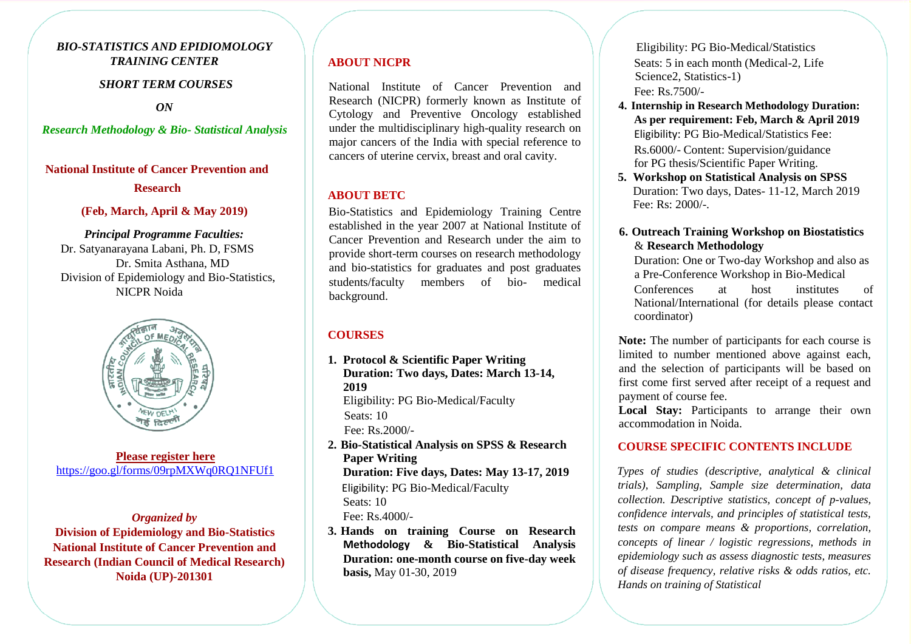# *BIO-STATISTICS AND EPIDIOMOLOGY TRAINING CENTER*

## *SHORT TERM COURSES*

*ON*

#### *Research Methodology & Bio- Statistical Analysis*

## **National Institute of Cancer Prevention and Research**

## **(Feb, March, April & May 2019)**

# *Principal Programme Faculties:*

Dr. Satyanarayana Labani, Ph. D, FSMS Dr. Smita Asthana, MD Division of Epidemiology and Bio-Statistics, NICPR Noida



**Please register here** <https://goo.gl/forms/09rpMXWq0RQ1NFUf1>

## *Organized by*

**Division of Epidemiology and Bio-Statistics National Institute of Cancer Prevention and Research (Indian Council of Medical Research) Noida (UP)-201301**

## **ABOUT NICPR**

National Institute of Cancer Prevention and Research (NICPR) formerly known as Institute of Cytology and Preventive Oncology established under the multidisciplinary high-quality research on major cancers of the India with special reference to cancers of uterine cervix, breast and oral cavity.

## **ABOUT BETC**

Bio-Statistics and Epidemiology Training Centre established in the year 2007 at National Institute of Cancer Prevention and Research under the aim to provide short-term courses on research methodology and bio-statistics for graduates and post graduates students/faculty members of bio- medical background.

## **COURSES**

- **1. Protocol & Scientific Paper Writing Duration: Two days, Dates: March 13-14, 2019**  Eligibility: PG Bio-Medical/Faculty Seats: 10 Fee: Rs.2000/-
- **2. Bio-Statistical Analysis on SPSS & Research Paper Writing Duration: Five days, Dates: May 13-17, 2019** Eligibility: PG Bio-Medical/Faculty Seats: 10 Fee: Rs.4000/-
- **3. Hands on training Course on Research Methodology & Bio-Statistical Analysis Duration: one-month course on five-day week basis,** May 01-30, 2019

Eligibility: PG Bio-Medical/Statistics Seats: 5 in each month (Medical-2, Life Science<sub>2</sub>, Statistics-1) Fee: Rs.7500/-

**4. Internship in Research Methodology Duration: As per requirement: Feb, March & April 2019** Eligibility: PG Bio-Medical/Statistics Fee:

Rs.6000/- Content: Supervision/guidance for PG thesis/Scientific Paper Writing.

**5. Workshop on Statistical Analysis on SPSS** Duration: Two days, Dates- 11-12, March 2019 Fee:  $Rs: 2000/-$ 

# **6. Outreach Training Workshop on Biostatistics** & **Research Methodology**

Duration: One or Two-day Workshop and also as a Pre-Conference Workshop in Bio-Medical

Conferences at host institutes of National/International (for details please contact coordinator)

**Note:** The number of participants for each course is limited to number mentioned above against each, and the selection of participants will be based on first come first served after receipt of a request and payment of course fee.

Local Stay: Participants to arrange their own accommodation in Noida.

# **COURSE SPECIFIC CONTENTS INCLUDE**

*Types of studies (descriptive, analytical & clinical trials), Sampling, Sample size determination, data collection. Descriptive statistics, concept of p-values, confidence intervals, and principles of statistical tests, tests on compare means & proportions, correlation, concepts of linear / logistic regressions, methods in epidemiology such as assess diagnostic tests, measures of disease frequency, relative risks & odds ratios, etc. Hands on training of Statistical*